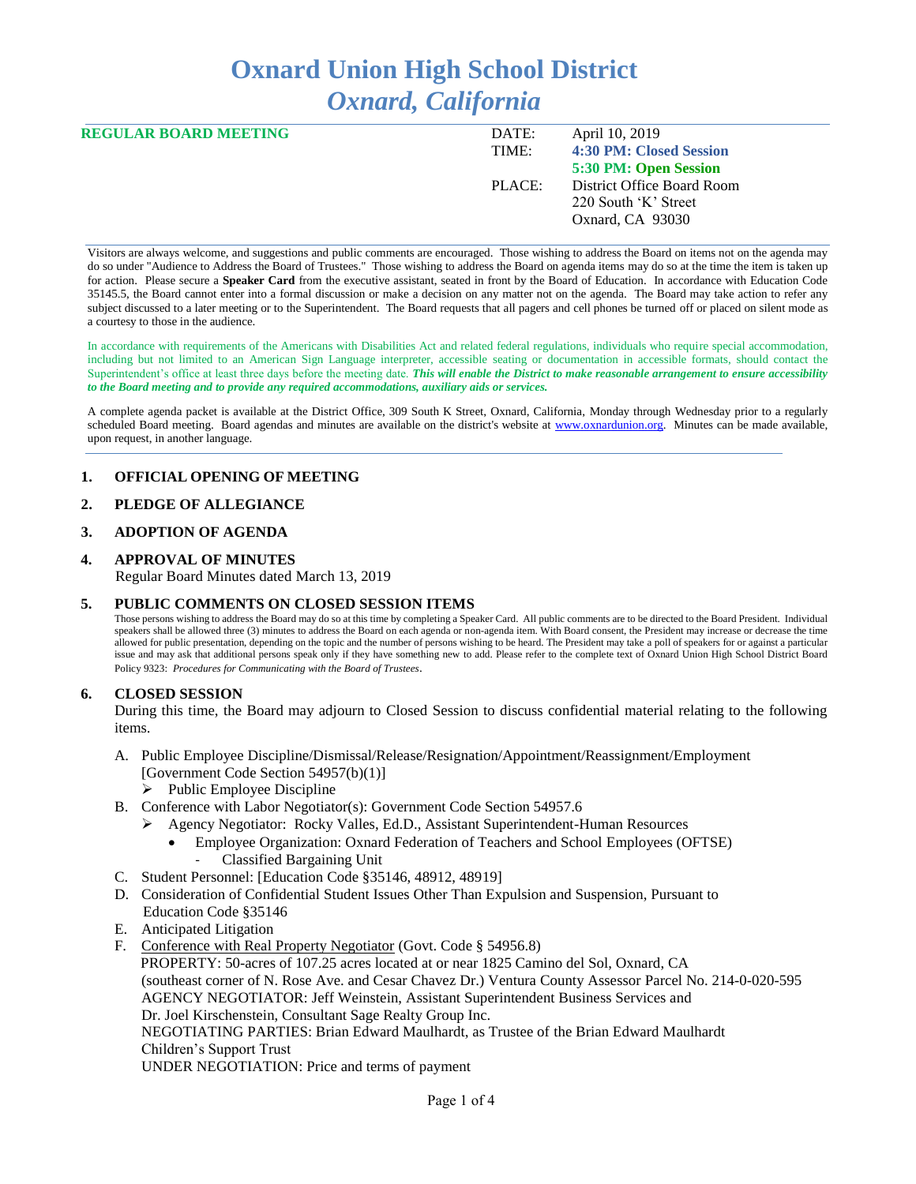# **Oxnard Union High School District** *Oxnard, California*

| <b>REGULAR BOARD MEETING</b> | DATE:  | April 10, 2019             |  |
|------------------------------|--------|----------------------------|--|
|                              | TIME:  | 4:30 PM: Closed Session    |  |
|                              |        | 5:30 PM: Open Session      |  |
|                              | PLACE: | District Office Board Room |  |
|                              |        | 220 South 'K' Street       |  |
|                              |        | Oxnard, CA 93030           |  |
|                              |        |                            |  |

Visitors are always welcome, and suggestions and public comments are encouraged. Those wishing to address the Board on items not on the agenda may do so under "Audience to Address the Board of Trustees." Those wishing to address the Board on agenda items may do so at the time the item is taken up for action. Please secure a **Speaker Card** from the executive assistant, seated in front by the Board of Education. In accordance with Education Code 35145.5, the Board cannot enter into a formal discussion or make a decision on any matter not on the agenda. The Board may take action to refer any subject discussed to a later meeting or to the Superintendent. The Board requests that all pagers and cell phones be turned off or placed on silent mode as a courtesy to those in the audience.

In accordance with requirements of the Americans with Disabilities Act and related federal regulations, individuals who require special accommodation, including but not limited to an American Sign Language interpreter, accessible seating or documentation in accessible formats, should contact the Superintendent's office at least three days before the meeting date. *This will enable the District to make reasonable arrangement to ensure accessibility to the Board meeting and to provide any required accommodations, auxiliary aids or services.* 

A complete agenda packet is available at the District Office, 309 South K Street, Oxnard, California, Monday through Wednesday prior to a regularly scheduled Board meeting. Board agendas and minutes are available on the district's website at [www.ox](http://www.o/)nardunion.org.Minutes can be made available, upon request, in another language.

## **1. OFFICIAL OPENING OF MEETING**

## **2. PLEDGE OF ALLEGIANCE**

## **3. ADOPTION OF AGENDA**

#### **4. APPROVAL OF MINUTES**

Regular Board Minutes dated March 13, 2019

#### **5. PUBLIC COMMENTS ON CLOSED SESSION ITEMS**

Those persons wishing to address the Board may do so at this time by completing a Speaker Card. All public comments are to be directed to the Board President. Individual speakers shall be allowed three (3) minutes to address the Board on each agenda or non-agenda item. With Board consent, the President may increase or decrease the time allowed for public presentation, depending on the topic and the number of persons wishing to be heard. The President may take a poll of speakers for or against a particular issue and may ask that additional persons speak only if they have something new to add. Please refer to the complete text of Oxnard Union High School District Board Policy 9323: *Procedures for Communicating with the Board of Trustees*.

#### **6. CLOSED SESSION**

During this time, the Board may adjourn to Closed Session to discuss confidential material relating to the following items.

- A. Public Employee Discipline/Dismissal/Release/Resignation/Appointment/Reassignment/Employment [Government Code Section 54957(b)(1)]
	- $\triangleright$  Public Employee Discipline
- B. Conference with Labor Negotiator(s): Government Code Section 54957.6
	- ➢ Agency Negotiator: Rocky Valles, Ed.D., Assistant Superintendent-Human Resources
		- Employee Organization: Oxnard Federation of Teachers and School Employees (OFTSE) - Classified Bargaining Unit
- C. Student Personnel: [Education Code §35146, 48912, 48919]
- D. Consideration of Confidential Student Issues Other Than Expulsion and Suspension, Pursuant to Education Code §35146
- E. Anticipated Litigation
- F. Conference with Real Property Negotiator (Govt. Code § 54956.8)

 PROPERTY: 50-acres of 107.25 acres located at or near 1825 Camino del Sol, Oxnard, CA (southeast corner of N. Rose Ave. and Cesar Chavez Dr.) Ventura County Assessor Parcel No. 214-0-020-595 AGENCY NEGOTIATOR: Jeff Weinstein, Assistant Superintendent Business Services and Dr. Joel Kirschenstein, Consultant Sage Realty Group Inc. NEGOTIATING PARTIES: Brian Edward Maulhardt, as Trustee of the Brian Edward Maulhardt Children's Support Trust UNDER NEGOTIATION: Price and terms of payment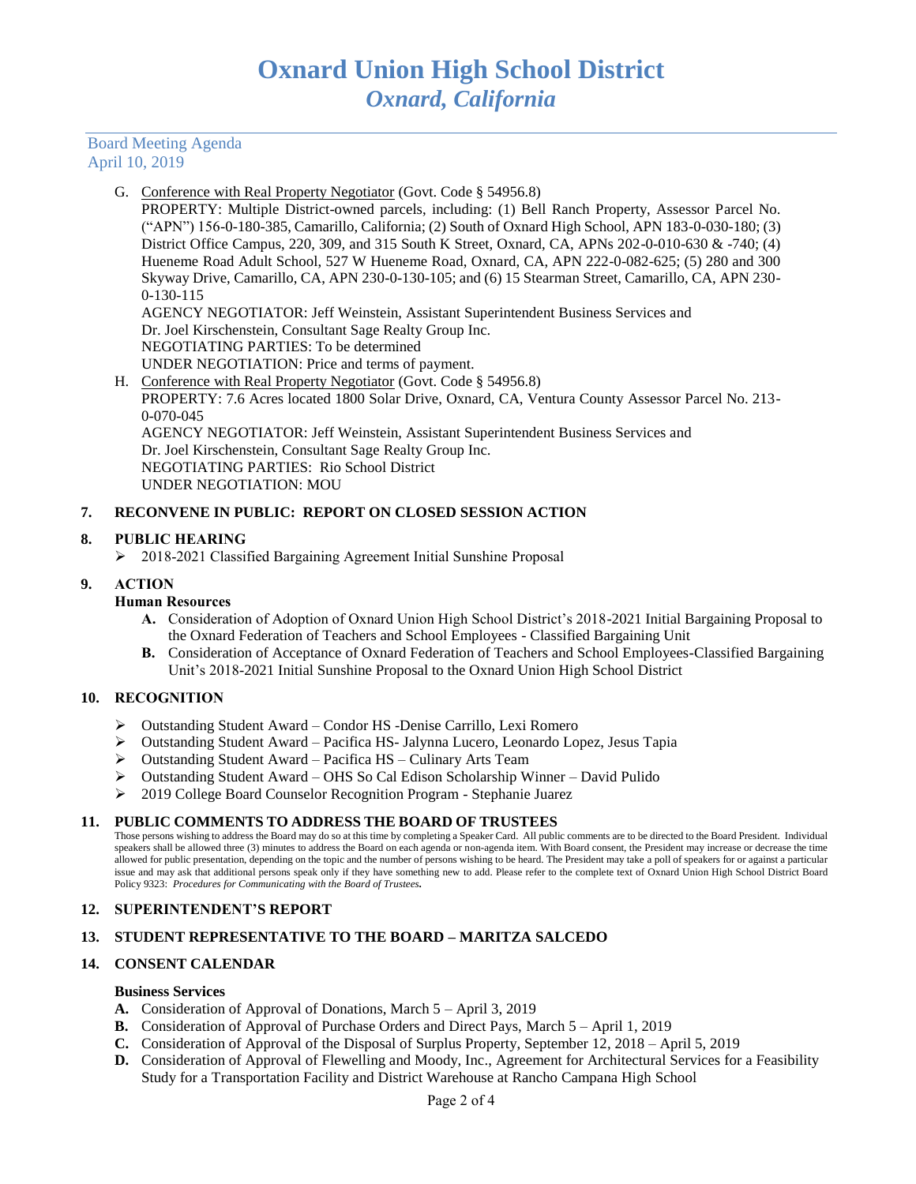## Board Meeting Agenda April 10, 2019

G. Conference with Real Property Negotiator (Govt. Code § 54956.8)

PROPERTY: Multiple District-owned parcels, including: (1) Bell Ranch Property, Assessor Parcel No. ("APN") 156-0-180-385, Camarillo, California; (2) South of Oxnard High School, APN 183-0-030-180; (3) District Office Campus, 220, 309, and 315 South K Street, Oxnard, CA, APNs 202-0-010-630 & -740; (4) Hueneme Road Adult School, 527 W Hueneme Road, Oxnard, CA, APN 222-0-082-625; (5) 280 and 300 Skyway Drive, Camarillo, CA, APN 230-0-130-105; and (6) 15 Stearman Street, Camarillo, CA, APN 230- 0-130-115

AGENCY NEGOTIATOR: Jeff Weinstein, Assistant Superintendent Business Services and Dr. Joel Kirschenstein, Consultant Sage Realty Group Inc. NEGOTIATING PARTIES: To be determined UNDER NEGOTIATION: Price and terms of payment. H. Conference with Real Property Negotiator (Govt. Code § 54956.8)

PROPERTY: 7.6 Acres located 1800 Solar Drive, Oxnard, CA, Ventura County Assessor Parcel No. 213- 0-070-045 AGENCY NEGOTIATOR: Jeff Weinstein, Assistant Superintendent Business Services and Dr. Joel Kirschenstein, Consultant Sage Realty Group Inc. NEGOTIATING PARTIES: Rio School District UNDER NEGOTIATION: MOU

# **7. RECONVENE IN PUBLIC: REPORT ON CLOSED SESSION ACTION**

## **8. PUBLIC HEARING**

➢ 2018-2021 Classified Bargaining Agreement Initial Sunshine Proposal

# **9. ACTION**

## **Human Resources**

- **A.** Consideration of Adoption of Oxnard Union High School District's 2018-2021 Initial Bargaining Proposal to the Oxnard Federation of Teachers and School Employees - Classified Bargaining Unit
- **B.** Consideration of Acceptance of Oxnard Federation of Teachers and School Employees-Classified Bargaining Unit's 2018-2021 Initial Sunshine Proposal to the Oxnard Union High School District

## **10. RECOGNITION**

- ➢ Outstanding Student Award Condor HS -Denise Carrillo, Lexi Romero
- ➢ Outstanding Student Award Pacifica HS- Jalynna Lucero, Leonardo Lopez, Jesus Tapia
- ➢ Outstanding Student Award Pacifica HS Culinary Arts Team
- ➢ Outstanding Student Award OHS So Cal Edison Scholarship Winner David Pulido
- ➢ 2019 College Board Counselor Recognition Program Stephanie Juarez

## **11. PUBLIC COMMENTS TO ADDRESS THE BOARD OF TRUSTEES**

Those persons wishing to address the Board may do so at this time by completing a Speaker Card. All public comments are to be directed to the Board President. Individual speakers shall be allowed three (3) minutes to address the Board on each agenda or non-agenda item. With Board consent, the President may increase or decrease the time allowed for public presentation, depending on the topic and the number of persons wishing to be heard. The President may take a poll of speakers for or against a particular issue and may ask that additional persons speak only if they have something new to add. Please refer to the complete text of Oxnard Union High School District Board Policy 9323: *Procedures for Communicating with the Board of Trustees.*

## **12. SUPERINTENDENT'S REPORT**

## **13. STUDENT REPRESENTATIVE TO THE BOARD – MARITZA SALCEDO**

## **14. CONSENT CALENDAR**

#### **Business Services**

- **A.** Consideration of Approval of Donations, March 5 April 3, 2019
- **B.** Consideration of Approval of Purchase Orders and Direct Pays, March 5 April 1, 2019
- **C.** Consideration of Approval of the Disposal of Surplus Property, September 12, 2018 April 5, 2019
- **D.** Consideration of Approval of Flewelling and Moody, Inc., Agreement for Architectural Services for a Feasibility Study for a Transportation Facility and District Warehouse at Rancho Campana High School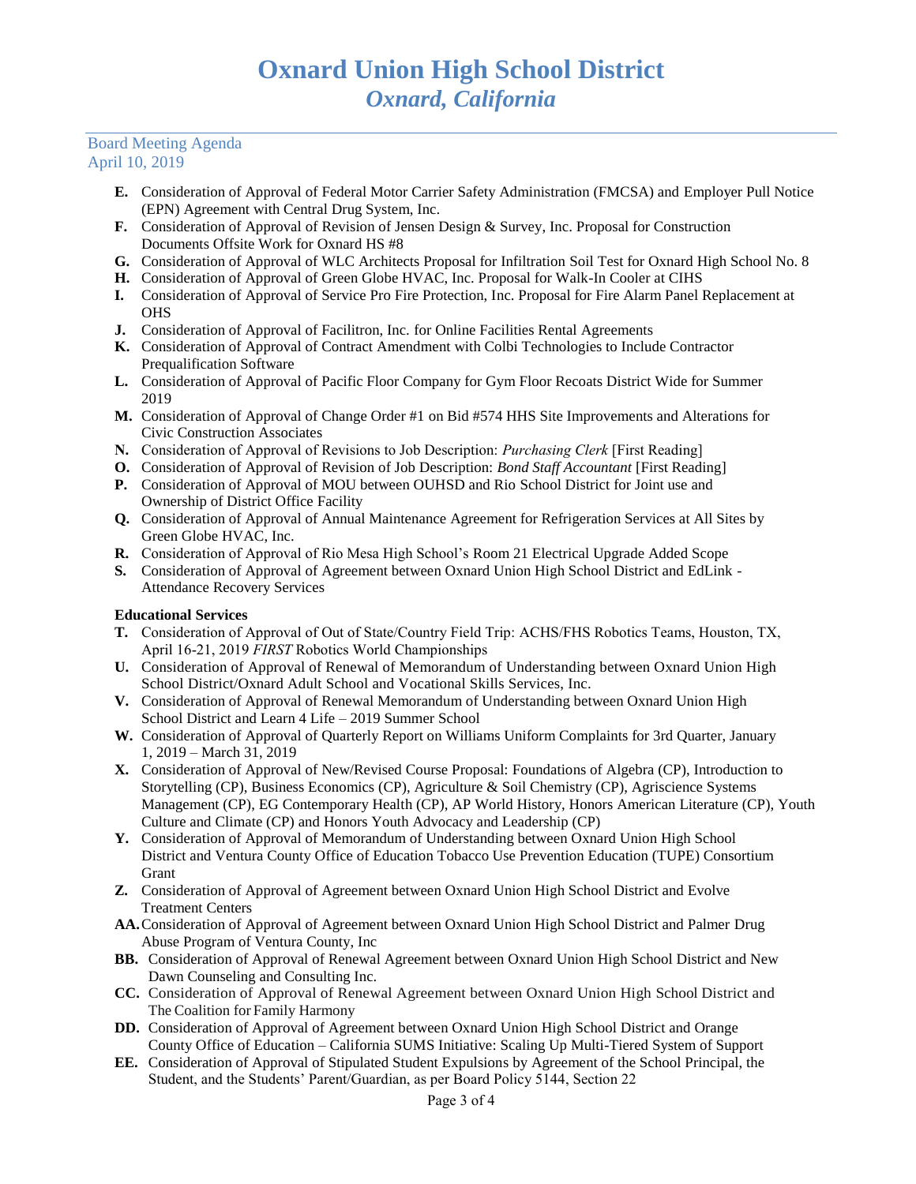## Board Meeting Agenda April 10, 2019

- **E.** Consideration of Approval of Federal Motor Carrier Safety Administration (FMCSA) and Employer Pull Notice (EPN) Agreement with Central Drug System, Inc.
- **F.** Consideration of Approval of Revision of Jensen Design & Survey, Inc. Proposal for Construction Documents Offsite Work for Oxnard HS #8
- **G.** Consideration of Approval of WLC Architects Proposal for Infiltration Soil Test for Oxnard High School No. 8
- **H.** Consideration of Approval of Green Globe HVAC, Inc. Proposal for Walk-In Cooler at CIHS
- **I.** Consideration of Approval of Service Pro Fire Protection, Inc. Proposal for Fire Alarm Panel Replacement at **OHS**
- **J.** Consideration of Approval of Facilitron, Inc. for Online Facilities Rental Agreements
- **K.** Consideration of Approval of Contract Amendment with Colbi Technologies to Include Contractor Prequalification Software
- **L.** Consideration of Approval of Pacific Floor Company for Gym Floor Recoats District Wide for Summer 2019
- **M.** Consideration of Approval of Change Order #1 on Bid #574 HHS Site Improvements and Alterations for Civic Construction Associates
- **N.** Consideration of Approval of Revisions to Job Description: *Purchasing Clerk* [First Reading]
- **O.** Consideration of Approval of Revision of Job Description: *Bond Staff Accountant* [First Reading]
- **P.** Consideration of Approval of MOU between OUHSD and Rio School District for Joint use and Ownership of District Office Facility
- **Q.** Consideration of Approval of Annual Maintenance Agreement for Refrigeration Services at All Sites by Green Globe HVAC, Inc.
- **R.** Consideration of Approval of Rio Mesa High School's Room 21 Electrical Upgrade Added Scope
- **S.** Consideration of Approval of Agreement between Oxnard Union High School District and EdLink Attendance Recovery Services

## **Educational Services**

- **T.** Consideration of Approval of Out of State/Country Field Trip: ACHS/FHS Robotics Teams, Houston, TX, April 16-21, 2019 *FIRST* Robotics World Championships
- **U.** Consideration of Approval of Renewal of Memorandum of Understanding between Oxnard Union High School District/Oxnard Adult School and Vocational Skills Services, Inc.
- **V.** Consideration of Approval of Renewal Memorandum of Understanding between Oxnard Union High School District and Learn 4 Life – 2019 Summer School
- **W.** Consideration of Approval of Quarterly Report on Williams Uniform Complaints for 3rd Quarter, January 1, 2019 – March 31, 2019
- **X.** Consideration of Approval of New/Revised Course Proposal: Foundations of Algebra (CP), Introduction to Storytelling (CP), Business Economics (CP), Agriculture & Soil Chemistry (CP), Agriscience Systems Management (CP), EG Contemporary Health (CP), AP World History, Honors American Literature (CP), Youth Culture and Climate (CP) and Honors Youth Advocacy and Leadership (CP)
- **Y.** Consideration of Approval of Memorandum of Understanding between Oxnard Union High School District and Ventura County Office of Education Tobacco Use Prevention Education (TUPE) Consortium Grant
- **Z.** Consideration of Approval of Agreement between Oxnard Union High School District and Evolve Treatment Centers
- **AA.**Consideration of Approval of Agreement between Oxnard Union High School District and Palmer Drug Abuse Program of Ventura County, Inc
- **BB.** Consideration of Approval of Renewal Agreement between Oxnard Union High School District and New Dawn Counseling and Consulting Inc.
- **CC.** Consideration of Approval of Renewal Agreement between Oxnard Union High School District and The Coalition for Family Harmony
- **DD.** Consideration of Approval of Agreement between Oxnard Union High School District and Orange County Office of Education – California SUMS Initiative: Scaling Up Multi-Tiered System of Support
- **EE.** Consideration of Approval of Stipulated Student Expulsions by Agreement of the School Principal, the Student, and the Students' Parent/Guardian, as per Board Policy 5144, Section 22